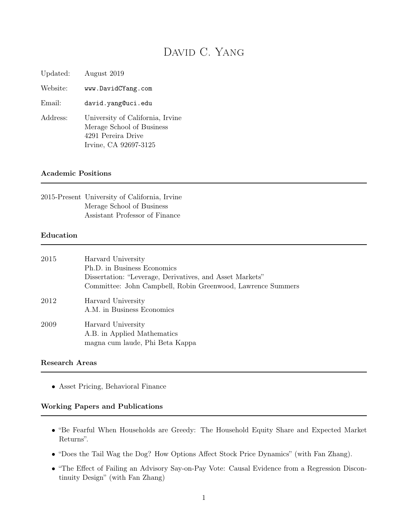# DAVID C. YANG

Updated: August 2019

Website: www.DavidCYang.com

Email: david.yang@uci.edu

Address: University of California, Irvine Merage School of Business 4291 Pereira Drive Irvine, CA 92697-3125

#### Academic Positions

| 2015-Present University of California, Irvine |
|-----------------------------------------------|
| Merage School of Business                     |
| Assistant Professor of Finance                |

#### Education

| 2015 | Harvard University<br>Ph.D. in Business Economics<br>Dissertation: "Leverage, Derivatives, and Asset Markets"<br>Committee: John Campbell, Robin Greenwood, Lawrence Summers |
|------|------------------------------------------------------------------------------------------------------------------------------------------------------------------------------|
| 2012 | Harvard University<br>A.M. in Business Economics                                                                                                                             |
| 2009 | Harvard University<br>A.B. in Applied Mathematics<br>magna cum laude, Phi Beta Kappa                                                                                         |

#### Research Areas

• Asset Pricing, Behavioral Finance

#### Working Papers and Publications

- "Be Fearful When Households are Greedy: The Household Equity Share and Expected Market Returns".
- "Does the Tail Wag the Dog? How Options Affect Stock Price Dynamics" (with Fan Zhang).
- "The Effect of Failing an Advisory Say-on-Pay Vote: Causal Evidence from a Regression Discontinuity Design" (with Fan Zhang)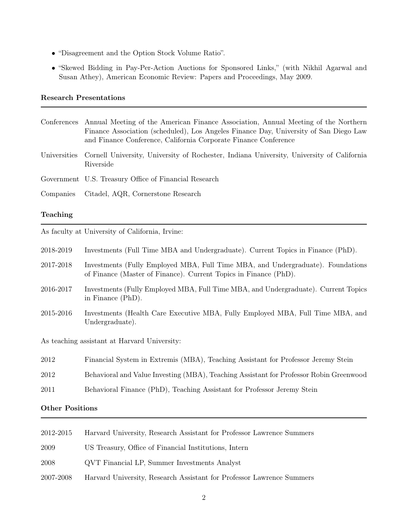- "Disagreement and the Option Stock Volume Ratio".
- "Skewed Bidding in Pay-Per-Action Auctions for Sponsored Links," (with Nikhil Agarwal and Susan Athey), American Economic Review: Papers and Proceedings, May 2009.

#### Research Presentations

| Conferences Annual Meeting of the American Finance Association, Annual Meeting of the Northern<br>Finance Association (scheduled), Los Angeles Finance Day, University of San Diego Law<br>and Finance Conference, California Corporate Finance Conference |
|------------------------------------------------------------------------------------------------------------------------------------------------------------------------------------------------------------------------------------------------------------|
| Universities Cornell University, University of Rochester, Indiana University, University of California<br>Riverside                                                                                                                                        |
| Government U.S. Treasury Office of Financial Research                                                                                                                                                                                                      |
| Companies Citadel, AQR, Cornerstone Research                                                                                                                                                                                                               |

### Teaching

As faculty at University of California, Irvine:

| 2018-2019                                   | Investments (Full Time MBA and Undergraduate). Current Topics in Finance (PhD).                                                                     |  |
|---------------------------------------------|-----------------------------------------------------------------------------------------------------------------------------------------------------|--|
| 2017-2018                                   | Investments (Fully Employed MBA, Full Time MBA, and Undergraduate). Foundations<br>of Finance (Master of Finance). Current Topics in Finance (PhD). |  |
| 2016-2017                                   | Investments (Fully Employed MBA, Full Time MBA, and Undergraduate). Current Topics<br>in Finance (PhD).                                             |  |
| 2015-2016                                   | Investments (Health Care Executive MBA, Fully Employed MBA, Full Time MBA, and<br>Undergraduate).                                                   |  |
| As tooching assistant of Harvard University |                                                                                                                                                     |  |

As teaching assistant at Harvard University:

| 2012 | Financial System in Extremis (MBA), Teaching Assistant for Professor Jeremy Stein      |
|------|----------------------------------------------------------------------------------------|
| 2012 | Behavioral and Value Investing (MBA), Teaching Assistant for Professor Robin Greenwood |

2011 Behavioral Finance (PhD), Teaching Assistant for Professor Jeremy Stein

### Other Positions

| 2012-2015 | Harvard University, Research Assistant for Professor Lawrence Summers |
|-----------|-----------------------------------------------------------------------|
| 2009      | US Treasury, Office of Financial Institutions, Intern                 |
| 2008      | QVT Financial LP, Summer Investments Analyst                          |
| 2007-2008 | Harvard University, Research Assistant for Professor Lawrence Summers |